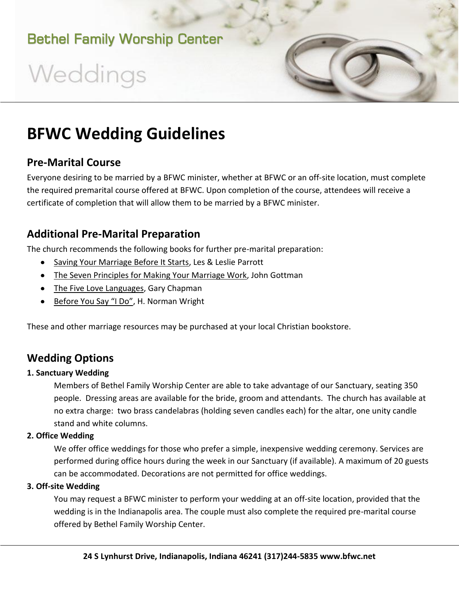Weddings

# **BFWC Wedding Guidelines**

#### **Pre-Marital Course**

Everyone desiring to be married by a BFWC minister, whether at BFWC or an off-site location, must complete the required premarital course offered at BFWC. Upon completion of the course, attendees will receive a certificate of completion that will allow them to be married by a BFWC minister.

### **Additional Pre-Marital Preparation**

The church recommends the following books for further pre-marital preparation:

- Saving Your Marriage Before It Starts, Les & Leslie Parrott
- The Seven Principles for Making Your Marriage Work, John Gottman
- The Five Love Languages, Gary Chapman
- Before You Say "I Do", H. Norman Wright

These and other marriage resources may be purchased at your local Christian bookstore.

## **Wedding Options**

#### **1. Sanctuary Wedding**

Members of Bethel Family Worship Center are able to take advantage of our Sanctuary, seating 350 people. Dressing areas are available for the bride, groom and attendants. The church has available at no extra charge: two brass candelabras (holding seven candles each) for the altar, one unity candle stand and white columns.

#### **2. Office Wedding**

We offer office weddings for those who prefer a simple, inexpensive wedding ceremony. Services are performed during office hours during the week in our Sanctuary (if available). A maximum of 20 guests can be accommodated. Decorations are not permitted for office weddings.

#### **3. Off-site Wedding**

You may request a BFWC minister to perform your wedding at an off-site location, provided that the wedding is in the Indianapolis area. The couple must also complete the required pre-marital course offered by Bethel Family Worship Center.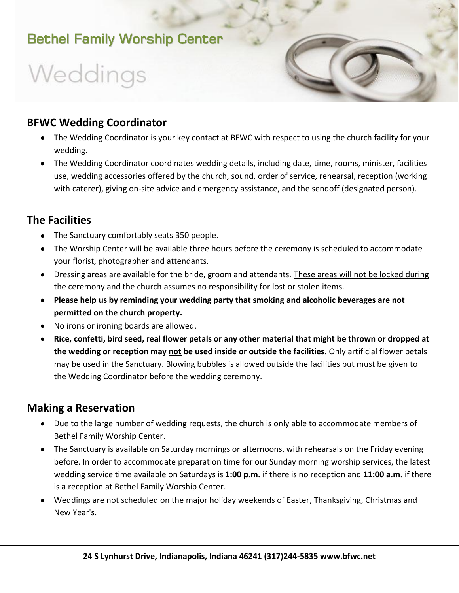# Weddings

## **BFWC Wedding Coordinator**

- The Wedding Coordinator is your key contact at BFWC with respect to using the church facility for your wedding.
- The Wedding Coordinator coordinates wedding details, including date, time, rooms, minister, facilities use, wedding accessories offered by the church, sound, order of service, rehearsal, reception (working with caterer), giving on-site advice and emergency assistance, and the sendoff (designated person).

### **The Facilities**

- The Sanctuary comfortably seats 350 people.
- The Worship Center will be available three hours before the ceremony is scheduled to accommodate your florist, photographer and attendants.
- Dressing areas are available for the bride, groom and attendants. These areas will not be locked during the ceremony and the church assumes no responsibility for lost or stolen items.
- **Please help us by reminding your wedding party that smoking and alcoholic beverages are not permitted on the church property.**
- No irons or ironing boards are allowed.
- **Rice, confetti, bird seed, real flower petals or any other material that might be thrown or dropped at the wedding or reception may not be used inside or outside the facilities.** Only artificial flower petals may be used in the Sanctuary. Blowing bubbles is allowed outside the facilities but must be given to the Wedding Coordinator before the wedding ceremony.

#### **Making a Reservation**

- Due to the large number of wedding requests, the church is only able to accommodate members of Bethel Family Worship Center.
- The Sanctuary is available on Saturday mornings or afternoons, with rehearsals on the Friday evening before. In order to accommodate preparation time for our Sunday morning worship services, the latest wedding service time available on Saturdays is **1:00 p.m.** if there is no reception and **11:00 a.m.** if there is a reception at Bethel Family Worship Center.
- Weddings are not scheduled on the major holiday weekends of Easter, Thanksgiving, Christmas and New Year's.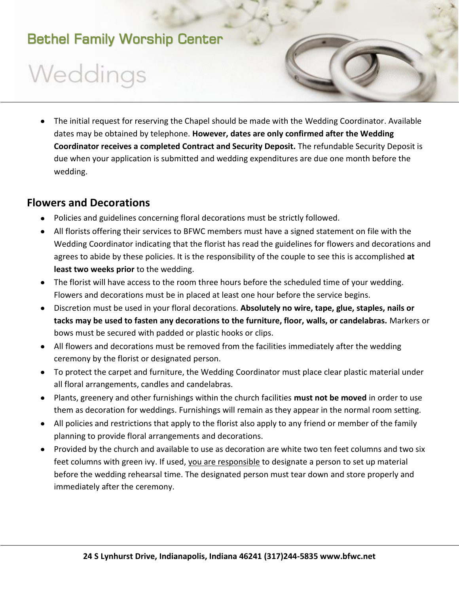# Weddings

The initial request for reserving the Chapel should be made with the Wedding Coordinator. Available  $\bullet$ dates may be obtained by telephone. **However, dates are only confirmed after the Wedding Coordinator receives a completed Contract and Security Deposit.** The refundable Security Deposit is due when your application is submitted and wedding expenditures are due one month before the wedding.

### **Flowers and Decorations**

- Policies and guidelines concerning floral decorations must be strictly followed.
- All florists offering their services to BFWC members must have a signed statement on file with the Wedding Coordinator indicating that the florist has read the guidelines for flowers and decorations and agrees to abide by these policies. It is the responsibility of the couple to see this is accomplished **at least two weeks prior** to the wedding.
- The florist will have access to the room three hours before the scheduled time of your wedding. Flowers and decorations must be in placed at least one hour before the service begins.
- Discretion must be used in your floral decorations. **Absolutely no wire, tape, glue, staples, nails or tacks may be used to fasten any decorations to the furniture, floor, walls, or candelabras.** Markers or bows must be secured with padded or plastic hooks or clips.
- All flowers and decorations must be removed from the facilities immediately after the wedding ceremony by the florist or designated person.
- To protect the carpet and furniture, the Wedding Coordinator must place clear plastic material under all floral arrangements, candles and candelabras.
- Plants, greenery and other furnishings within the church facilities **must not be moved** in order to use them as decoration for weddings. Furnishings will remain as they appear in the normal room setting.
- All policies and restrictions that apply to the florist also apply to any friend or member of the family planning to provide floral arrangements and decorations.
- Provided by the church and available to use as decoration are white two ten feet columns and two six feet columns with green ivy. If used, you are responsible to designate a person to set up material before the wedding rehearsal time. The designated person must tear down and store properly and immediately after the ceremony.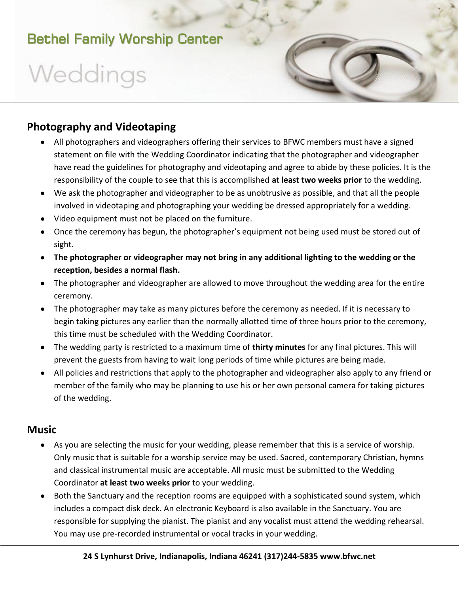# Weddings



- All photographers and videographers offering their services to BFWC members must have a signed statement on file with the Wedding Coordinator indicating that the photographer and videographer have read the guidelines for photography and videotaping and agree to abide by these policies. It is the responsibility of the couple to see that this is accomplished **at least two weeks prior** to the wedding.
- We ask the photographer and videographer to be as unobtrusive as possible, and that all the people involved in videotaping and photographing your wedding be dressed appropriately for a wedding.
- Video equipment must not be placed on the furniture.
- Once the ceremony has begun, the photographer's equipment not being used must be stored out of sight.
- **The photographer or videographer may not bring in any additional lighting to the wedding or the reception, besides a normal flash.**
- The photographer and videographer are allowed to move throughout the wedding area for the entire ceremony.
- The photographer may take as many pictures before the ceremony as needed. If it is necessary to begin taking pictures any earlier than the normally allotted time of three hours prior to the ceremony, this time must be scheduled with the Wedding Coordinator.
- The wedding party is restricted to a maximum time of **thirty minutes** for any final pictures. This will prevent the guests from having to wait long periods of time while pictures are being made.
- All policies and restrictions that apply to the photographer and videographer also apply to any friend or member of the family who may be planning to use his or her own personal camera for taking pictures of the wedding.

#### **Music**

- As you are selecting the music for your wedding, please remember that this is a service of worship. Only music that is suitable for a worship service may be used. Sacred, contemporary Christian, hymns and classical instrumental music are acceptable. All music must be submitted to the Wedding Coordinator **at least two weeks prior** to your wedding.
- Both the Sanctuary and the reception rooms are equipped with a sophisticated sound system, which includes a compact disk deck. An electronic Keyboard is also available in the Sanctuary. You are responsible for supplying the pianist. The pianist and any vocalist must attend the wedding rehearsal. You may use pre-recorded instrumental or vocal tracks in your wedding.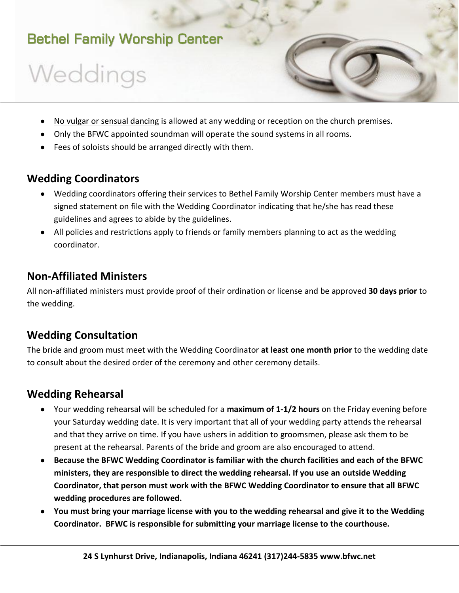# Weddings

- No vulgar or sensual dancing is allowed at any wedding or reception on the church premises.
- Only the BFWC appointed soundman will operate the sound systems in all rooms.
- Fees of soloists should be arranged directly with them.

### **Wedding Coordinators**

- Wedding coordinators offering their services to Bethel Family Worship Center members must have a signed statement on file with the Wedding Coordinator indicating that he/she has read these guidelines and agrees to abide by the guidelines.
- All policies and restrictions apply to friends or family members planning to act as the wedding coordinator.

### **Non-Affiliated Ministers**

All non-affiliated ministers must provide proof of their ordination or license and be approved **30 days prior** to the wedding.

## **Wedding Consultation**

The bride and groom must meet with the Wedding Coordinator **at least one month prior** to the wedding date to consult about the desired order of the ceremony and other ceremony details.

### **Wedding Rehearsal**

- Your wedding rehearsal will be scheduled for a **maximum of 1-1/2 hours** on the Friday evening before your Saturday wedding date. It is very important that all of your wedding party attends the rehearsal and that they arrive on time. If you have ushers in addition to groomsmen, please ask them to be present at the rehearsal. Parents of the bride and groom are also encouraged to attend.
- **Because the BFWC Wedding Coordinator is familiar with the church facilities and each of the BFWC ministers, they are responsible to direct the wedding rehearsal. If you use an outside Wedding Coordinator, that person must work with the BFWC Wedding Coordinator to ensure that all BFWC wedding procedures are followed.**
- **You must bring your marriage license with you to the wedding rehearsal and give it to the Wedding Coordinator. BFWC is responsible for submitting your marriage license to the courthouse.**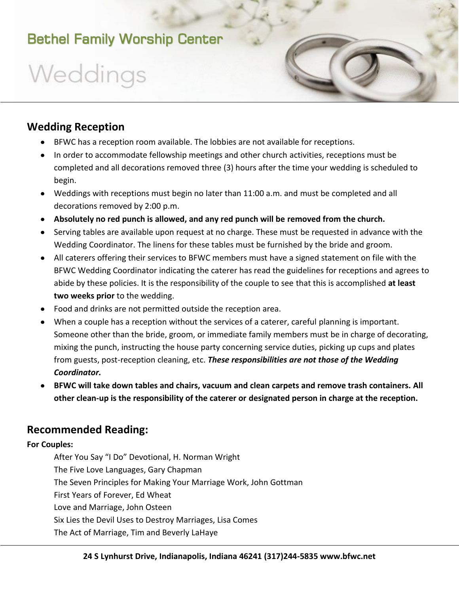# Weddings

### **Wedding Reception**

- BFWC has a reception room available. The lobbies are not available for receptions.
- In order to accommodate fellowship meetings and other church activities, receptions must be completed and all decorations removed three (3) hours after the time your wedding is scheduled to begin.
- Weddings with receptions must begin no later than 11:00 a.m. and must be completed and all decorations removed by 2:00 p.m.
- **Absolutely no red punch is allowed, and any red punch will be removed from the church.**
- Serving tables are available upon request at no charge. These must be requested in advance with the Wedding Coordinator. The linens for these tables must be furnished by the bride and groom.
- All caterers offering their services to BFWC members must have a signed statement on file with the BFWC Wedding Coordinator indicating the caterer has read the guidelines for receptions and agrees to abide by these policies. It is the responsibility of the couple to see that this is accomplished **at least two weeks prior** to the wedding.
- Food and drinks are not permitted outside the reception area.
- When a couple has a reception without the services of a caterer, careful planning is important. Someone other than the bride, groom, or immediate family members must be in charge of decorating, mixing the punch, instructing the house party concerning service duties, picking up cups and plates from guests, post-reception cleaning, etc. *These responsibilities are not those of the Wedding Coordinator.*
- **BFWC will take down tables and chairs, vacuum and clean carpets and remove trash containers. All other clean-up is the responsibility of the caterer or designated person in charge at the reception.**

### **Recommended Reading:**

#### **For Couples:**

After You Say "I Do" Devotional, H. Norman Wright The Five Love Languages, Gary Chapman The Seven Principles for Making Your Marriage Work, John Gottman First Years of Forever, Ed Wheat Love and Marriage, John Osteen Six Lies the Devil Uses to Destroy Marriages, Lisa Comes The Act of Marriage, Tim and Beverly LaHaye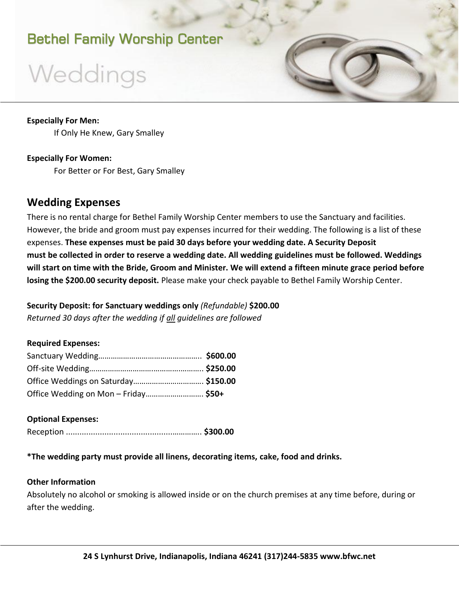# Weddings

#### **Especially For Men:**

If Only He Knew, Gary Smalley

#### **Especially For Women:**

For Better or For Best, Gary Smalley

#### **Wedding Expenses**

There is no rental charge for Bethel Family Worship Center members to use the Sanctuary and facilities. However, the bride and groom must pay expenses incurred for their wedding. The following is a list of these expenses. **These expenses must be paid 30 days before your wedding date. A Security Deposit must be collected in order to reserve a wedding date. All wedding guidelines must be followed. Weddings will start on time with the Bride, Groom and Minister. We will extend a fifteen minute grace period before losing the \$200.00 security deposit.** Please make your check payable to Bethel Family Worship Center.

**Security Deposit: for Sanctuary weddings only** *(Refundable)* **\$200.00** *Returned 30 days after the wedding if all guidelines are followed*

#### **Required Expenses:**

| Office Weddings on Saturday \$150.00 |  |
|--------------------------------------|--|
| Office Wedding on Mon - Friday \$50+ |  |

#### **Optional Expenses:** Reception ...............................................………….. **\$300.00**

#### **\*The wedding party must provide all linens, decorating items, cake, food and drinks.**

#### **Other Information**

Absolutely no alcohol or smoking is allowed inside or on the church premises at any time before, during or after the wedding.